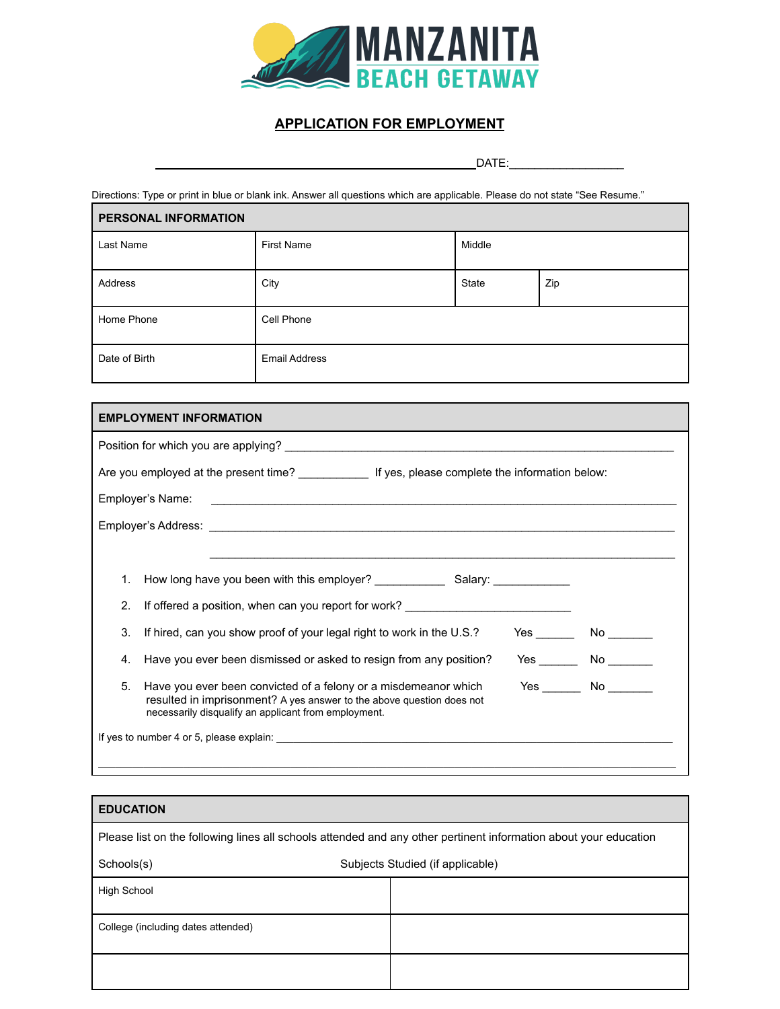

## **APPLICATION FOR EMPLOYMENT**

DATE:\_\_\_\_\_\_\_\_\_\_\_\_\_\_\_\_\_\_

Directions: Type or print in blue or blank ink. Answer all questions which are applicable. Please do not state "See Resume."

| PERSONAL INFORMATION |                      |        |     |  |
|----------------------|----------------------|--------|-----|--|
| Last Name            | <b>First Name</b>    | Middle |     |  |
| Address              | City                 | State  | Zip |  |
| Home Phone           | Cell Phone           |        |     |  |
| Date of Birth        | <b>Email Address</b> |        |     |  |

| <b>EMPLOYMENT INFORMATION</b> |                                                                                                                                                                                                                               |                      |  |
|-------------------------------|-------------------------------------------------------------------------------------------------------------------------------------------------------------------------------------------------------------------------------|----------------------|--|
|                               | Position for which you are applying? Letter that the state of the state of the state of the state of the state of the state of the state of the state of the state of the state of the state of the state of the state of the |                      |  |
|                               |                                                                                                                                                                                                                               |                      |  |
|                               |                                                                                                                                                                                                                               |                      |  |
|                               |                                                                                                                                                                                                                               |                      |  |
|                               |                                                                                                                                                                                                                               |                      |  |
| 1.                            |                                                                                                                                                                                                                               |                      |  |
| 2.                            | If offered a position, when can you report for work?                                                                                                                                                                          |                      |  |
| 3.                            | If hired, can you show proof of your legal right to work in the U.S.?                                                                                                                                                         | $Yes$ No $\_\_\_\_\$ |  |
| 4.                            | Have you ever been dismissed or asked to resign from any position?                                                                                                                                                            | $Yes$ No $\_\_\_\_\$ |  |
| 5.                            | Have you ever been convicted of a felony or a misdemeanor which<br>resulted in imprisonment? A yes answer to the above question does not<br>necessarily disqualify an applicant from employment.                              | $Yes$ No $\qquad$    |  |
|                               |                                                                                                                                                                                                                               |                      |  |

## **EDUCATION** Please list on the following lines all schools attended and any other pertinent information about your education Schools(s) Schools(s) Subjects Studied (if applicable) High School College (including dates attended)